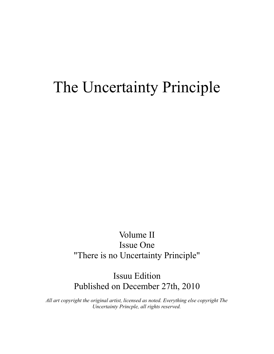# The Uncertainty Principle

# Volume II Issue One "There is no Uncertainty Principle"

Issuu Edition Published on December 27th, 2010

*All art copyright the original artist, licensed as noted. Everything else copyright The Uncertainty Princple, all rights reserved.*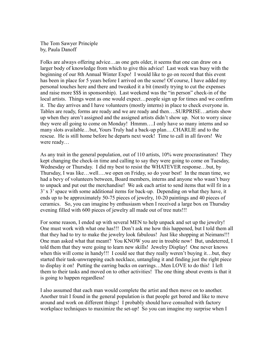The Tom Sawyer Principle by, Paula Danoff

Folks are always offering advice…as one gets older, it seems that one can draw on a larger body of knowledge from which to give this advice! Last week was busy with the beginning of our 8th Annual Winter Expo! I would like to go on record that this event has been in place for 5 years before I arrived on the scene! Of course, I have added my personal touches here and there and tweaked it a bit (mostly trying to cut the expenses and raise more \$\$\$ in sponsorship). Last weekend was the "in person" check-in of the local artists. Things went as one would expect…people sign up for times and we confirm it. The day arrives and I have volunteers (mostly interns) in place to check everyone in. Tables are ready, forms are ready and we are ready and then….SURPRISE…artists show up when they aren't assigned and the assigned artists didn't show up. Not to worry since they were all going to come on Monday! Hmmm….I only have so many interns and so many slots available…but, Yours Truly had a back-up plan….CHARLIE and to the rescue. He is still home before he departs next week! Time to call in all favors! We were ready…

As any trait in the general population, out of 110 artists, 10% were procrastinators! They kept changing the check-in time and calling to say they were going to come on Tuesday, Wednesday or Thursday. I did my best to resist the WHATEVER response…but, by Thursday, I was like…well….we open on Friday, so do your best! In the mean time, we had a bevy of volunteers between, Board members, interns and anyone who wasn't busy to unpack and put out the merchandise! We ask each artist to send items that will fit in a 3' x 3' space with some additional items for back-up. Depending on what they have, it ends up to be approximately 50-75 pieces of jewelry, 10-20 paintings and 40 pieces of ceramics. So, you can imagine by enthusiasm when I received a large box on Thursday evening filled with 600 pieces of jewelry all made out of tree nuts!!!

For some reason, I ended up with several MEN to help unpack and set up the jewelry! One must work with what one has!!! Don't ask me how this happened, but I told them all that they had to try to make the jewelry look fabulous! Just like shopping at Neimans!!! One man asked what that meant? You KNOW you are in trouble now! But, undeterred, I told them that they were going to learn new skills! Jewelry Display! One never knows when this will come in handy!!! I could see that they really weren't buying it...but, they started their task-unwrapping each necklace, untangling it and finding just the right piece to display it on! Putting the earring backs on earrings…Men LOVE to do this! I left them to their tasks and moved on to other activities! The one thing about events is that it is going to happen regardless!

I also assumed that each man would complete the artist and then move on to another. Another trait I found in the general population is that people get bored and like to move around and work on different things! I probably should have consulted with factory workplace techniques to maximize the set-up! So you can imagine my surprise when I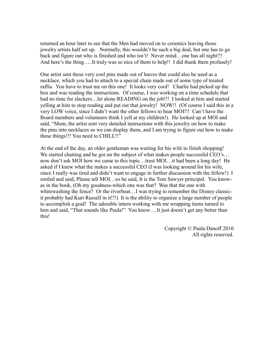returned an hour later to see that the Men had moved on to ceramics leaving those jewelry artists half set up. Normally, this wouldn't be such a big deal, but one has to go back and figure out who is finished and who isn't! Never mind…one has all night!!! And here's the thing…..It truly was so nice of them to help!! I did thank them profusely!

One artist sent these very cool pins made out of leaves that could also be used as a necklace, which you had to attach to a special chain made out of some type of treated raffia. You have to trust me on this one! It looks very cool! Charlie had picked up the box and was reading the instructions. Of course, I was working on a time schedule that had no time for slackers...let alone READING on the job!!! I looked at him and started yelling at him to stop reading and put out that jewelry! NOW!! (Of course I said this in a very LOW voice, since I didn't want the other fellows to hear MOI!!! Can't have the Board members and volunteers think I yell at my children!). He looked up at MOI and said, "Mom, the artist sent very detailed instructions with this jewelry on how to make the pins into necklaces so we can display them, and I am trying to figure out how to make these things!!! You need to CHILL!!"

At the end of the day, an older gentleman was waiting for his wife to finish shopping! We started chatting and he got on the subject of what makes people successful CEO's... now don't ask MOI how we came to this topic…trust MOI…it had been a long day! He asked if I knew what the makes a successful CEO (I was looking around for his wife, since I really was tired and didn't want to engage in further discussion with the fellow!) I smiled and said, Please tell MOI…so he said, It is the Tom Sawyer principal. You knowas in the book, (Oh my goodness-which one was that? Was that the one with whitewashing the fence? Or the riverboat…I was trying to remember the Disney classicit probably had Kurt Russell in it!!!) It is the ability to organize a large number of people to accomplish a goal! The adorable intern working with me wrapping items turned to him and said, "That sounds like Paula!" You know....It just doesn't get any better than this!

> Copyright © Paula Danoff 2010 All rights reserved.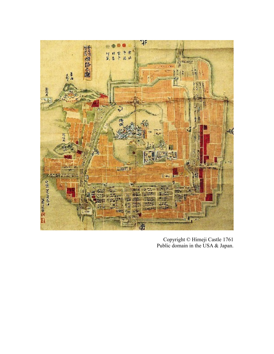

Copyright © Himeji Castle 1761 Public domain in the USA & Japan.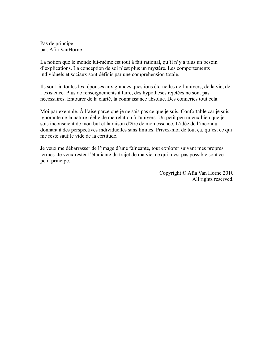Pas de principe par, Afia VanHorne

La notion que le monde lui-même est tout à fait rational, qu'il n'y a plus un besoin d'explications. La conception de soi n'est plus un mystère. Les comportements individuels et sociaux sont définis par une compréhension totale.

Ils sont là, toutes les réponses aux grandes questions éternelles de l'univers, de la vie, de l'existence. Plus de renseignements à faire, des hypothèses rejetées ne sont pas nécessaires. Entourer de la clarté, la connaissance absolue. Des conneries tout cela.

Moi par exemple. À l'aise parce que je ne sais pas ce que je suis. Confortable car je suis ignorante de la nature réelle de ma relation à l'univers. Un petit peu mieux bien que je sois inconscient de mon but et la raison d'être de mon essence. L'idée de l'inconnu donnant à des perspectives individuelles sans limites. Privez-moi de tout ça, qu'est ce qui me reste sauf le vide de la certitude.

Je veux me débarrasser de l'image d'une fainéante, tout explorer suivant mes propres termes. Je veux rester l'étudiante du trajet de ma vie, ce qui n'est pas possible sont ce petit principe.

> Copyright © Afia Van Horne 2010 All rights reserved.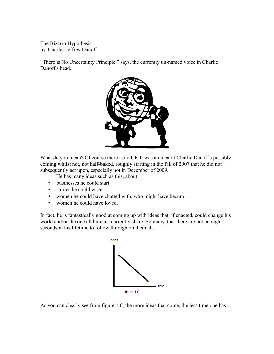The Bizarro Hypothesis by, Charles Jeffrey Danoff

"There is No Uncertainty Principle." says, the currently un-named voice in Charlie Danoff's head.



What do you mean? Of course there is no UP. It was an idea of Charlie Danoff's possibly coming whilst not, not half-baked, roughly starting in the fall of 2007 that he did not subsequently act upon, especially not in December of 2009.

He has many ideas such as this, about:

- businesses he could start.
- stories he could write.
- women he could have chatted with, who might have becum …
- women he could have loved.

In fact, he is fantastically good at coming up with ideas that, if enacted, could change his world and/or the one all humans currently share. So many, that there are not enough seconds in his lifetime to follow through on them all.



As you can clearly see from figure 1.0, the more ideas that come, the less time one has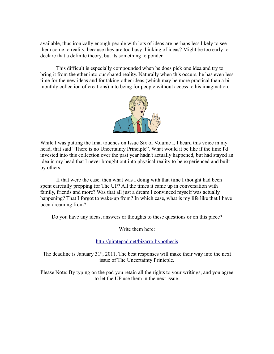available, thus ironically enough people with lots of ideas are perhaps less likely to see them come to reality, because they are too busy thinking of ideas? Might be too early to declare that a definite theory, but its something to ponder.

This difficult is especially compounded when he does pick one idea and try to bring it from the ether into our shared reality. Naturally when this occurs, he has even less time for the new ideas and for taking other ideas (which may be more practical than a bimonthly collection of creations) into being for people without access to his imagination.



While I was putting the final touches on Issue Six of Volume I, I heard this voice in my head, that said "There is no Uncertainty Principle". What would it be like if the time I'd invested into this collection over the past year hadn't actually happened, but had stayed an idea in my head that I never brought out into physical reality to be experienced and built by others.

If that were the case, then what was I doing with that time I thought had been spent carefully prepping for The UP? All the times it came up in conversation with family, friends and more? Was that all just a dream I convinced myself was actually happening? That I forgot to wake-up from? In which case, what is my life like that I have been dreaming from?

Do you have any ideas, answers or thoughts to these questions or on this piece?

Write them here:

#### <http://piratepad.net/bizarro-hypothesis>

The deadline is January  $31<sup>st</sup>$ ,  $2011$ . The best responses will make their way into the next issue of The Uncertainty Prinicple.

Please Note: By typing on the pad you retain all the rights to your writings, and you agree to let the UP use them in the next issue.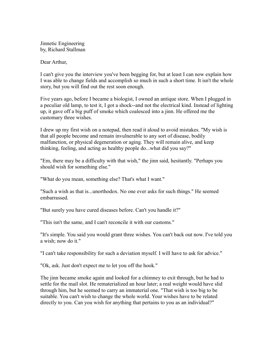Jinnetic Engineering by, Richard Stallman

Dear Arthur,

I can't give you the interview you've been begging for, but at least I can now explain how I was able to change fields and accomplish so much in such a short time. It isn't the whole story, but you will find out the rest soon enough.

Five years ago, before I became a biologist, I owned an antique store. When I plugged in a peculiar old lamp, to test it, I got a shock--and not the electrical kind. Instead of lighting up, it gave off a big puff of smoke which coalesced into a jinn. He offered me the customary three wishes.

I drew up my first wish on a notepad, then read it aloud to avoid mistakes. "My wish is that all people become and remain invulnerable to any sort of disease, bodily malfunction, or physical degeneration or aging. They will remain alive, and keep thinking, feeling, and acting as healthy people do...what did you say?"

"Em, there may be a difficulty with that wish," the jinn said, hesitantly. "Perhaps you should wish for something else."

"What do you mean, something else? That's what I want."

"Such a wish as that is...unorthodox. No one ever asks for such things." He seemed embarrassed.

"But surely you have cured diseases before. Can't you handle it?"

"This isn't the same, and I can't reconcile it with our customs."

"It's simple. You said you would grant three wishes. You can't back out now. I've told you a wish; now do it."

"I can't take responsibility for such a deviation myself. I will have to ask for advice."

"Ok, ask. Just don't expect me to let you off the hook."

The jinn became smoke again and looked for a chimney to exit through, but he had to settle for the mail slot. He rematerialized an hour later; a real weight would have slid through him, but he seemed to carry an immaterial one. "That wish is too big to be suitable. You can't wish to change the whole world. Your wishes have to be related directly to you. Can you wish for anything that pertains to you as an individual?"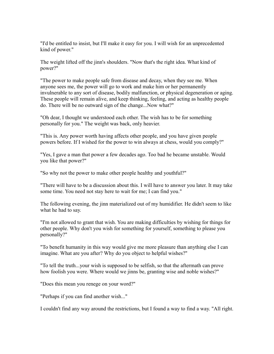"I'd be entitled to insist, but I'll make it easy for you. I will wish for an unprecedented kind of power."

The weight lifted off the jinn's shoulders. "Now that's the right idea. What kind of power?"

"The power to make people safe from disease and decay, when they see me. When anyone sees me, the power will go to work and make him or her permanently invulnerable to any sort of disease, bodily malfunction, or physical degeneration or aging. These people will remain alive, and keep thinking, feeling, and acting as healthy people do. There will be no outward sign of the change...Now what?"

"Oh dear, I thought we understood each other. The wish has to be for something personally for you." The weight was back, only heavier.

"This is. Any power worth having affects other people, and you have given people powers before. If I wished for the power to win always at chess, would you comply?"

"Yes, I gave a man that power a few decades ago. Too bad he became unstable. Would you like that power?"

"So why not the power to make other people healthy and youthful?"

"There will have to be a discussion about this. I will have to answer you later. It may take some time. You need not stay here to wait for me; I can find you."

The following evening, the jinn materialized out of my humidifier. He didn't seem to like what he had to say.

"I'm not allowed to grant that wish. You are making difficulties by wishing for things for other people. Why don't you wish for something for yourself, something to please you personally?"

"To benefit humanity in this way would give me more pleasure than anything else I can imagine. What are you after? Why do you object to helpful wishes?"

"To tell the truth...your wish is supposed to be selfish, so that the aftermath can prove how foolish you were. Where would we jinns be, granting wise and noble wishes?"

"Does this mean you renege on your word?"

"Perhaps if you can find another wish..."

I couldn't find any way around the restrictions, but I found a way to find a way. "All right.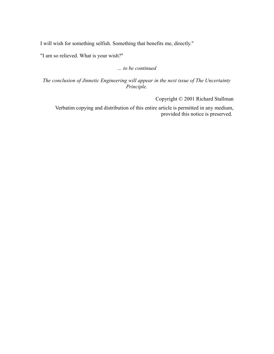I will wish for something selfish. Something that benefits me, directly."

"I am so relieved. What is your wish?"

*… to be continued*

*The conclusion of Jinnetic Engineering will appear in the next issue of The Uncertainty Principle.*

Copyright © 2001 Richard Stallman

Verbatim copying and distribution of this entire article is permitted in any medium, provided this notice is preserved.